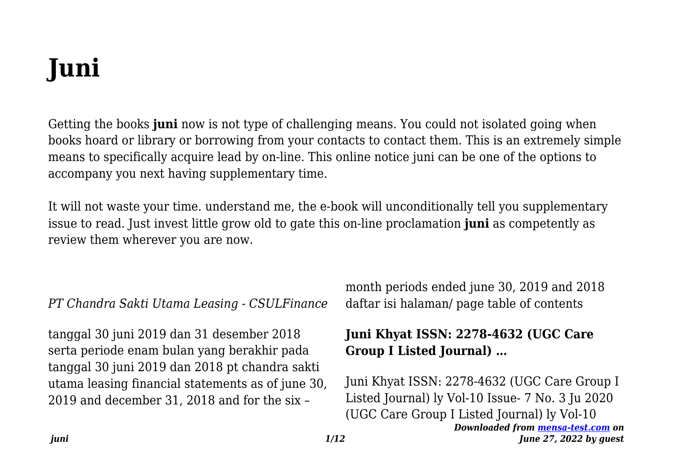# **Juni**

Getting the books **juni** now is not type of challenging means. You could not isolated going when books hoard or library or borrowing from your contacts to contact them. This is an extremely simple means to specifically acquire lead by on-line. This online notice juni can be one of the options to accompany you next having supplementary time.

It will not waste your time. understand me, the e-book will unconditionally tell you supplementary issue to read. Just invest little grow old to gate this on-line proclamation **juni** as competently as review them wherever you are now.

*PT Chandra Sakti Utama Leasing - CSULFinance*

tanggal 30 juni 2019 dan 31 desember 2018 serta periode enam bulan yang berakhir pada tanggal 30 juni 2019 dan 2018 pt chandra sakti utama leasing financial statements as of june 30, 2019 and december 31, 2018 and for the six –

month periods ended june 30, 2019 and 2018 daftar isi halaman/ page table of contents

# **Juni Khyat ISSN: 2278-4632 (UGC Care Group I Listed Journal) …**

Juni Khyat ISSN: 2278-4632 (UGC Care Group I Listed Journal) ly Vol-10 Issue- 7 No. 3 Ju 2020 (UGC Care Group I Listed Journal) ly Vol-10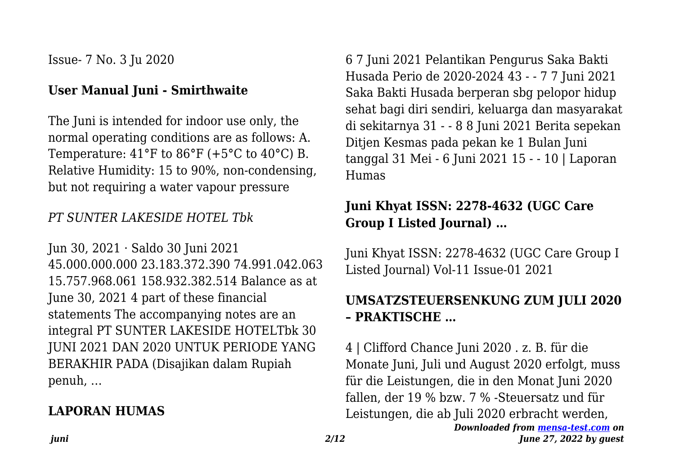Issue- 7 No. 3 Ju 2020

#### **User Manual Juni - Smirthwaite**

The Juni is intended for indoor use only, the normal operating conditions are as follows: A. Temperature:  $41^{\circ}$ F to  $86^{\circ}$ F (+5 $^{\circ}$ C to  $40^{\circ}$ C) B. Relative Humidity: 15 to 90%, non-condensing, but not requiring a water vapour pressure

#### *PT SUNTER LAKESIDE HOTEL Tbk*

Jun 30, 2021 · Saldo 30 Juni 2021 45.000.000.000 23.183.372.390 74.991.042.063 15.757.968.061 158.932.382.514 Balance as at June 30, 2021 4 part of these financial statements The accompanying notes are an integral PT SUNTER LAKESIDE HOTELTbk 30 JUNI 2021 DAN 2020 UNTUK PERIODE YANG BERAKHIR PADA (Disajikan dalam Rupiah penuh, …

# **LAPORAN HUMAS**

6 7 Juni 2021 Pelantikan Pengurus Saka Bakti Husada Perio de 2020-2024 43 - - 7 7 Juni 2021 Saka Bakti Husada berperan sbg pelopor hidup sehat bagi diri sendiri, keluarga dan masyarakat di sekitarnya 31 - - 8 8 Juni 2021 Berita sepekan Ditjen Kesmas pada pekan ke 1 Bulan Juni tanggal 31 Mei - 6 Juni 2021 15 - - 10 | Laporan Humas

# **Juni Khyat ISSN: 2278-4632 (UGC Care Group I Listed Journal) …**

Juni Khyat ISSN: 2278-4632 (UGC Care Group I Listed Journal) Vol-11 Issue-01 2021

# **UMSATZSTEUERSENKUNG ZUM JULI 2020 – PRAKTISCHE …**

*Downloaded from [mensa-test.com](https://mensa-test.com) on June 27, 2022 by guest* 4 | Clifford Chance Juni 2020 . z. B. für die Monate Juni, Juli und August 2020 erfolgt, muss für die Leistungen, die in den Monat Juni 2020 fallen, der 19 % bzw. 7 % -Steuersatz und für Leistungen, die ab Juli 2020 erbracht werden,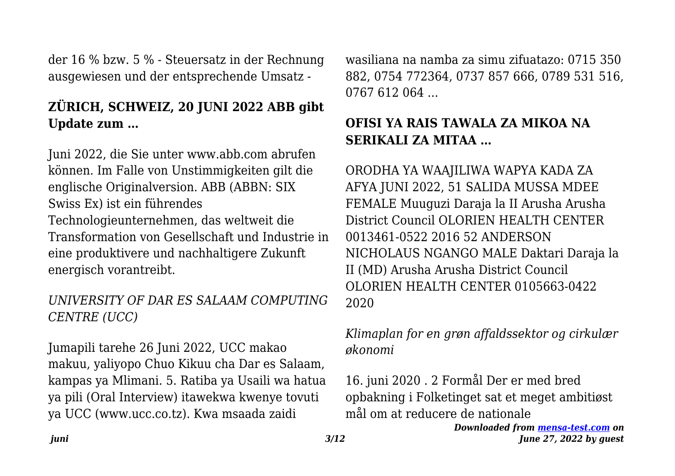der 16 % bzw. 5 % - Steuersatz in der Rechnung ausgewiesen und der entsprechende Umsatz -

# **ZÜRICH, SCHWEIZ, 20 JUNI 2022 ABB gibt Update zum …**

Juni 2022, die Sie unter www.abb.com abrufen können. Im Falle von Unstimmigkeiten gilt die englische Originalversion. ABB (ABBN: SIX Swiss Ex) ist ein führendes Technologieunternehmen, das weltweit die Transformation von Gesellschaft und Industrie in eine produktivere und nachhaltigere Zukunft energisch vorantreibt.

#### *UNIVERSITY OF DAR ES SALAAM COMPUTING CENTRE (UCC)*

Jumapili tarehe 26 Juni 2022, UCC makao makuu, yaliyopo Chuo Kikuu cha Dar es Salaam, kampas ya Mlimani. 5. Ratiba ya Usaili wa hatua ya pili (Oral Interview) itawekwa kwenye tovuti ya UCC (www.ucc.co.tz). Kwa msaada zaidi

wasiliana na namba za simu zifuatazo: 0715 350 882, 0754 772364, 0737 857 666, 0789 531 516, 0767 612 064

# **OFISI YA RAIS TAWALA ZA MIKOA NA SERIKALI ZA MITAA …**

ORODHA YA WAAJILIWA WAPYA KADA ZA AFYA JUNI 2022, 51 SALIDA MUSSA MDEE FEMALE Muuguzi Daraja la II Arusha Arusha District Council OLORIEN HEALTH CENTER 0013461-0522 2016 52 ANDERSON NICHOLAUS NGANGO MALE Daktari Daraja la II (MD) Arusha Arusha District Council OLORIEN HEALTH CENTER 0105663-0422 2020

#### *Klimaplan for en grøn affaldssektor og cirkulær økonomi*

16. juni 2020 . 2 Formål Der er med bred opbakning i Folketinget sat et meget ambitiøst mål om at reducere de nationale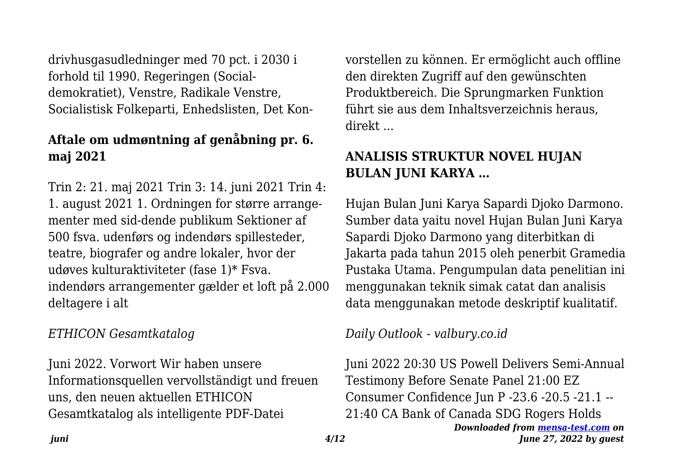drivhusgasudledninger med 70 pct. i 2030 i forhold til 1990. Regeringen (Socialdemokratiet), Venstre, Radikale Venstre, Socialistisk Folkeparti, Enhedslisten, Det Kon-

# **Aftale om udmøntning af genåbning pr. 6. maj 2021**

Trin 2: 21. maj 2021 Trin 3: 14. juni 2021 Trin 4: 1. august 2021 1. Ordningen for større arrangementer med sid-dende publikum Sektioner af 500 fsva. udenførs og indendørs spillesteder, teatre, biografer og andre lokaler, hvor der udøves kulturaktiviteter (fase 1)\* Fsva. indendørs arrangementer gælder et loft på 2.000 deltagere i alt

#### *ETHICON Gesamtkatalog*

Juni 2022. Vorwort Wir haben unsere Informationsquellen vervollständigt und freuen uns, den neuen aktuellen ETHICON Gesamtkatalog als intelligente PDF-Datei

vorstellen zu können. Er ermöglicht auch offline den direkten Zugriff auf den gewünschten Produktbereich. Die Sprungmarken Funktion führt sie aus dem Inhaltsverzeichnis heraus, direkt ...

# **ANALISIS STRUKTUR NOVEL HUJAN BULAN JUNI KARYA …**

Hujan Bulan Juni Karya Sapardi Djoko Darmono. Sumber data yaitu novel Hujan Bulan Juni Karya Sapardi Djoko Darmono yang diterbitkan di Jakarta pada tahun 2015 oleh penerbit Gramedia Pustaka Utama. Pengumpulan data penelitian ini menggunakan teknik simak catat dan analisis data menggunakan metode deskriptif kualitatif.

#### *Daily Outlook - valbury.co.id*

*Downloaded from [mensa-test.com](https://mensa-test.com) on June 27, 2022 by guest* Juni 2022 20:30 US Powell Delivers Semi-Annual Testimony Before Senate Panel 21:00 EZ Consumer Confidence Jun P -23.6 -20.5 -21.1 -- 21:40 CA Bank of Canada SDG Rogers Holds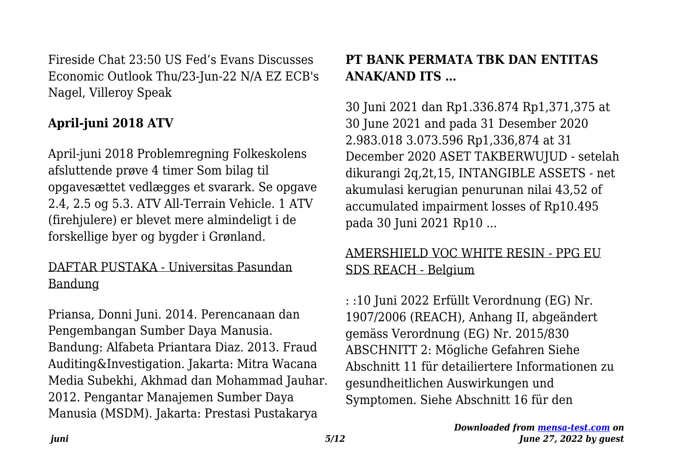Fireside Chat 23:50 US Fed's Evans Discusses Economic Outlook Thu/23-Jun-22 N/A EZ ECB's Nagel, Villeroy Speak

# **April-juni 2018 ATV**

April-juni 2018 Problemregning Folkeskolens afsluttende prøve 4 timer Som bilag til opgavesættet vedlægges et svarark. Se opgave 2.4, 2.5 og 5.3. ATV All-Terrain Vehicle. 1 ATV (firehjulere) er blevet mere almindeligt i de forskellige byer og bygder i Grønland.

#### DAFTAR PUSTAKA - Universitas Pasundan Bandung

Priansa, Donni Juni. 2014. Perencanaan dan Pengembangan Sumber Daya Manusia. Bandung: Alfabeta Priantara Diaz. 2013. Fraud Auditing&Investigation. Jakarta: Mitra Wacana Media Subekhi, Akhmad dan Mohammad Jauhar. 2012. Pengantar Manajemen Sumber Daya Manusia (MSDM). Jakarta: Prestasi Pustakarya

# **PT BANK PERMATA TBK DAN ENTITAS ANAK/AND ITS …**

30 Juni 2021 dan Rp1.336.874 Rp1,371,375 at 30 June 2021 and pada 31 Desember 2020 2.983.018 3.073.596 Rp1,336,874 at 31 December 2020 ASET TAKBERWUJUD - setelah dikurangi 2q,2t,15, INTANGIBLE ASSETS - net akumulasi kerugian penurunan nilai 43,52 of accumulated impairment losses of Rp10.495 pada 30 Juni 2021 Rp10 ...

## AMERSHIELD VOC WHITE RESIN - PPG EU SDS REACH - Belgium

: :10 Juni 2022 Erfüllt Verordnung (EG) Nr. 1907/2006 (REACH), Anhang II, abgeändert gemäss Verordnung (EG) Nr. 2015/830 ABSCHNITT 2: Mögliche Gefahren Siehe Abschnitt 11 für detailiertere Informationen zu gesundheitlichen Auswirkungen und Symptomen. Siehe Abschnitt 16 für den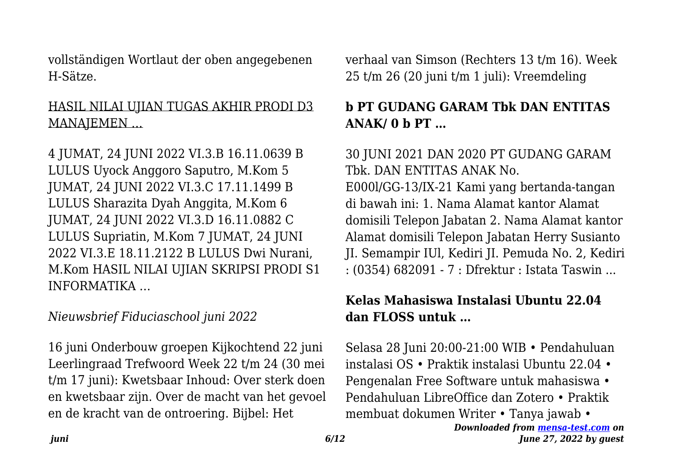vollständigen Wortlaut der oben angegebenen H-Sätze.

# HASIL NILAI UJIAN TUGAS AKHIR PRODI D3 MANAJEMEN …

4 JUMAT, 24 JUNI 2022 VI.3.B 16.11.0639 B LULUS Uyock Anggoro Saputro, M.Kom 5 JUMAT, 24 JUNI 2022 VI.3.C 17.11.1499 B LULUS Sharazita Dyah Anggita, M.Kom 6 JUMAT, 24 JUNI 2022 VI.3.D 16.11.0882 C LULUS Supriatin, M.Kom 7 JUMAT, 24 JUNI 2022 VI.3.E 18.11.2122 B LULUS Dwi Nurani, M.Kom HASIL NILAI UJIAN SKRIPSI PRODI S1 INFORMATIKA …

## *Nieuwsbrief Fiduciaschool juni 2022*

16 juni Onderbouw groepen Kijkochtend 22 juni Leerlingraad Trefwoord Week 22 t/m 24 (30 mei t/m 17 juni): Kwetsbaar Inhoud: Over sterk doen en kwetsbaar zijn. Over de macht van het gevoel en de kracht van de ontroering. Bijbel: Het

verhaal van Simson (Rechters 13 t/m 16). Week 25 t/m 26 (20 juni t/m 1 juli): Vreemdeling

# **b PT GUDANG GARAM Tbk DAN ENTITAS ANAK/ 0 b PT …**

30 JUNI 2021 DAN 2020 PT GUDANG GARAM Tbk. DAN ENTITAS ANAK No. E000l/GG-13/IX-21 Kami yang bertanda-tangan di bawah ini: 1. Nama Alamat kantor Alamat domisili Telepon Jabatan 2. Nama Alamat kantor Alamat domisili Telepon Jabatan Herry Susianto JI. Semampir IUl, Kediri JI. Pemuda No. 2, Kediri : (0354) 682091 - 7 : Dfrektur : Istata Taswin ...

## **Kelas Mahasiswa Instalasi Ubuntu 22.04 dan FLOSS untuk …**

Selasa 28 Juni 20:00-21:00 WIB • Pendahuluan instalasi OS • Praktik instalasi Ubuntu 22.04 • Pengenalan Free Software untuk mahasiswa • Pendahuluan LibreOffice dan Zotero • Praktik membuat dokumen Writer • Tanya jawab •

```
Downloaded from mensa-test.com on
 June 27, 2022 by guest
```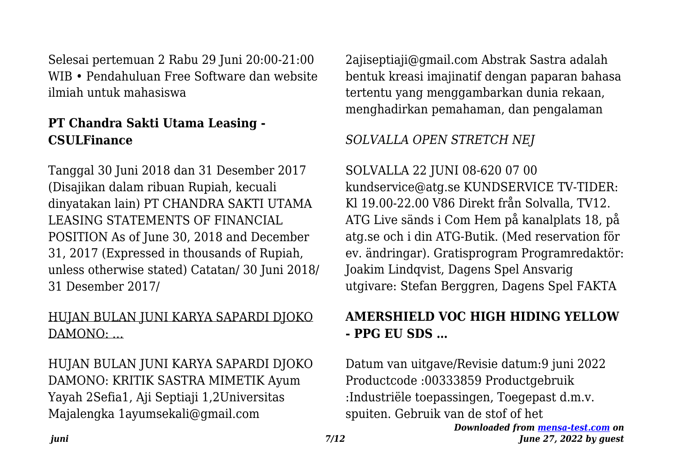Selesai pertemuan 2 Rabu 29 Juni 20:00-21:00 WIB • Pendahuluan Free Software dan website ilmiah untuk mahasiswa

# **PT Chandra Sakti Utama Leasing - CSULFinance**

Tanggal 30 Juni 2018 dan 31 Desember 2017 (Disajikan dalam ribuan Rupiah, kecuali dinyatakan lain) PT CHANDRA SAKTI UTAMA LEASING STATEMENTS OF FINANCIAL POSITION As of June 30, 2018 and December 31, 2017 (Expressed in thousands of Rupiah, unless otherwise stated) Catatan/ 30 Juni 2018/ 31 Desember 2017/

# HUJAN BULAN JUNI KARYA SAPARDI DJOKO DAMONO: ...

HUJAN BULAN JUNI KARYA SAPARDI DJOKO DAMONO: KRITIK SASTRA MIMETIK Ayum Yayah 2Sefia1, Aji Septiaji 1,2Universitas Majalengka 1ayumsekali@gmail.com

2ajiseptiaji@gmail.com Abstrak Sastra adalah bentuk kreasi imajinatif dengan paparan bahasa tertentu yang menggambarkan dunia rekaan, menghadirkan pemahaman, dan pengalaman

# *SOLVALLA OPEN STRETCH NEJ*

SOLVALLA 22 JUNI 08-620 07 00 kundservice@atg.se KUNDSERVICE TV-TIDER: Kl 19.00-22.00 V86 Direkt från Solvalla, TV12. ATG Live sänds i Com Hem på kanalplats 18, på atg.se och i din ATG-Butik. (Med reservation för ev. ändringar). Gratisprogram Programredaktör: Joakim Lindqvist, Dagens Spel Ansvarig utgivare: Stefan Berggren, Dagens Spel FAKTA

# **AMERSHIELD VOC HIGH HIDING YELLOW - PPG EU SDS …**

Datum van uitgave/Revisie datum:9 juni 2022 Productcode :00333859 Productgebruik :Industriële toepassingen, Toegepast d.m.v. spuiten. Gebruik van de stof of het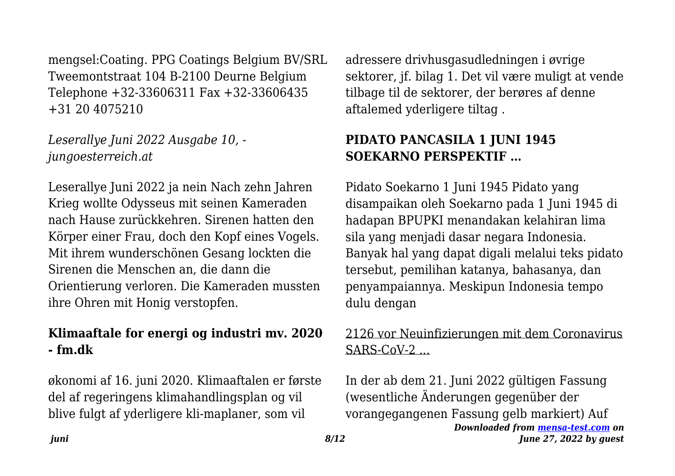mengsel:Coating. PPG Coatings Belgium BV/SRL Tweemontstraat 104 B-2100 Deurne Belgium Telephone +32-33606311 Fax +32-33606435 +31 20 4075210

*Leserallye Juni 2022 Ausgabe 10, jungoesterreich.at*

Leserallye Juni 2022 ja nein Nach zehn Jahren Krieg wollte Odysseus mit seinen Kameraden nach Hause zurückkehren. Sirenen hatten den Körper einer Frau, doch den Kopf eines Vogels. Mit ihrem wunderschönen Gesang lockten die Sirenen die Menschen an, die dann die Orientierung verloren. Die Kameraden mussten ihre Ohren mit Honig verstopfen.

#### **Klimaaftale for energi og industri mv. 2020 - fm.dk**

økonomi af 16. juni 2020. Klimaaftalen er første del af regeringens klimahandlingsplan og vil blive fulgt af yderligere kli-maplaner, som vil

adressere drivhusgasudledningen i øvrige sektorer, jf. bilag 1. Det vil være muligt at vende tilbage til de sektorer, der berøres af denne aftalemed yderligere tiltag .

# **PIDATO PANCASILA 1 JUNI 1945 SOEKARNO PERSPEKTIF …**

Pidato Soekarno 1 Juni 1945 Pidato yang disampaikan oleh Soekarno pada 1 Juni 1945 di hadapan BPUPKI menandakan kelahiran lima sila yang menjadi dasar negara Indonesia. Banyak hal yang dapat digali melalui teks pidato tersebut, pemilihan katanya, bahasanya, dan penyampaiannya. Meskipun Indonesia tempo dulu dengan

#### 2126 vor Neuinfizierungen mit dem Coronavirus  $SARS-CoV-2$

*Downloaded from [mensa-test.com](https://mensa-test.com) on June 27, 2022 by guest* In der ab dem 21. Juni 2022 gültigen Fassung (wesentliche Änderungen gegenüber der vorangegangenen Fassung gelb markiert) Auf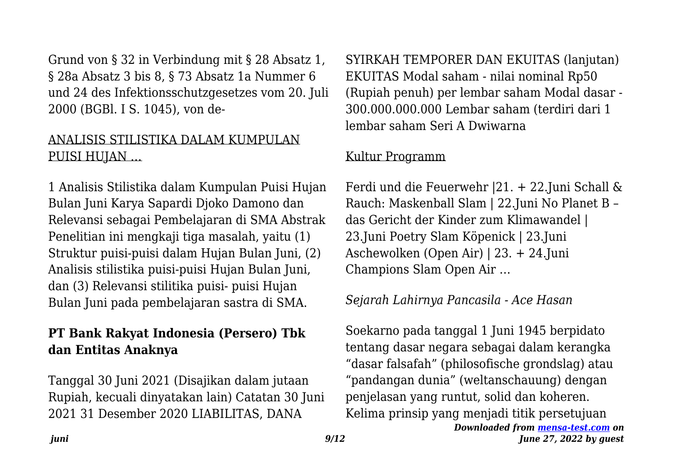Grund von § 32 in Verbindung mit § 28 Absatz 1, § 28a Absatz 3 bis 8, § 73 Absatz 1a Nummer 6 und 24 des Infektionsschutzgesetzes vom 20. Juli 2000 (BGBl. I S. 1045), von de-

#### ANALISIS STILISTIKA DALAM KUMPULAN PUISI HUJAN …

1 Analisis Stilistika dalam Kumpulan Puisi Hujan Bulan Juni Karya Sapardi Djoko Damono dan Relevansi sebagai Pembelajaran di SMA Abstrak Penelitian ini mengkaji tiga masalah, yaitu (1) Struktur puisi-puisi dalam Hujan Bulan Juni, (2) Analisis stilistika puisi-puisi Hujan Bulan Juni, dan (3) Relevansi stilitika puisi- puisi Hujan Bulan Juni pada pembelajaran sastra di SMA.

## **PT Bank Rakyat Indonesia (Persero) Tbk dan Entitas Anaknya**

Tanggal 30 Juni 2021 (Disajikan dalam jutaan Rupiah, kecuali dinyatakan lain) Catatan 30 Juni 2021 31 Desember 2020 LIABILITAS, DANA

SYIRKAH TEMPORER DAN EKUITAS (lanjutan) EKUITAS Modal saham - nilai nominal Rp50 (Rupiah penuh) per lembar saham Modal dasar - 300.000.000.000 Lembar saham (terdiri dari 1 lembar saham Seri A Dwiwarna

#### Kultur Programm

Ferdi und die Feuerwehr |21. + 22.Juni Schall & Rauch: Maskenball Slam | 22.Juni No Planet B – das Gericht der Kinder zum Klimawandel | 23.Juni Poetry Slam Köpenick | 23.Juni Aschewolken (Open Air) | 23. + 24.Juni Champions Slam Open Air …

## *Sejarah Lahirnya Pancasila - Ace Hasan*

*Downloaded from [mensa-test.com](https://mensa-test.com) on* Soekarno pada tanggal 1 Juni 1945 berpidato tentang dasar negara sebagai dalam kerangka "dasar falsafah" (philosofische grondslag) atau "pandangan dunia" (weltanschauung) dengan penjelasan yang runtut, solid dan koheren. Kelima prinsip yang menjadi titik persetujuan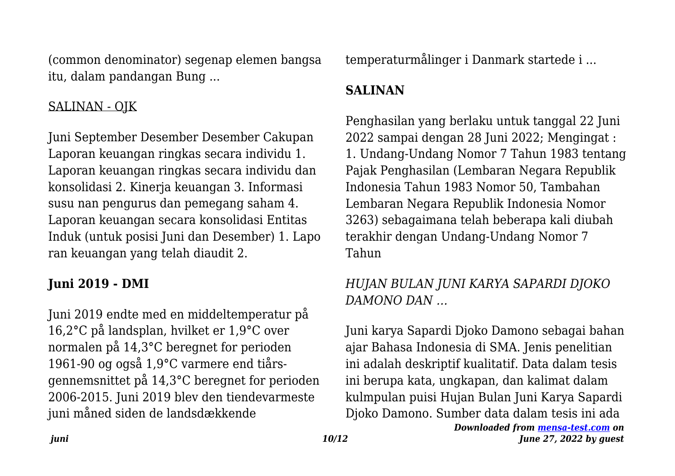(common denominator) segenap elemen bangsa itu, dalam pandangan Bung ...

#### SALINAN - OJK

Juni September Desember Desember Cakupan Laporan keuangan ringkas secara individu 1. Laporan keuangan ringkas secara individu dan konsolidasi 2. Kinerja keuangan 3. Informasi susu nan pengurus dan pemegang saham 4. Laporan keuangan secara konsolidasi Entitas Induk (untuk posisi Juni dan Desember) 1. Lapo ran keuangan yang telah diaudit 2.

#### **Juni 2019 - DMI**

Juni 2019 endte med en middeltemperatur på 16,2°C på landsplan, hvilket er 1,9°C over normalen på 14,3°C beregnet for perioden 1961-90 og også 1,9°C varmere end tiårsgennemsnittet på 14,3°C beregnet for perioden 2006-2015. Juni 2019 blev den tiendevarmeste juni måned siden de landsdækkende

temperaturmålinger i Danmark startede i ...

# **SALINAN**

Penghasilan yang berlaku untuk tanggal 22 Juni 2022 sampai dengan 28 Juni 2022; Mengingat : 1. Undang-Undang Nomor 7 Tahun 1983 tentang Pajak Penghasilan (Lembaran Negara Republik Indonesia Tahun 1983 Nomor 50, Tambahan Lembaran Negara Republik Indonesia Nomor 3263) sebagaimana telah beberapa kali diubah terakhir dengan Undang-Undang Nomor 7 Tahun

# *HUJAN BULAN JUNI KARYA SAPARDI DJOKO DAMONO DAN …*

Juni karya Sapardi Djoko Damono sebagai bahan ajar Bahasa Indonesia di SMA. Jenis penelitian ini adalah deskriptif kualitatif. Data dalam tesis ini berupa kata, ungkapan, dan kalimat dalam kulmpulan puisi Hujan Bulan Juni Karya Sapardi Djoko Damono. Sumber data dalam tesis ini ada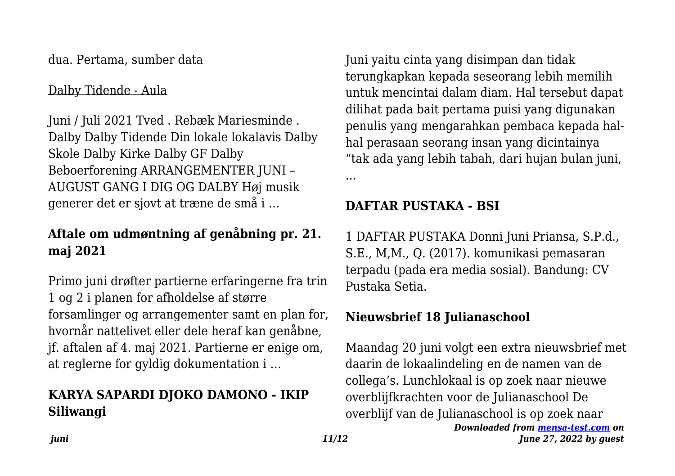dua. Pertama, sumber data

#### Dalby Tidende - Aula

Juni / Juli 2021 Tved . Rebæk Mariesminde . Dalby Dalby Tidende Din lokale lokalavis Dalby Skole Dalby Kirke Dalby GF Dalby Beboerforening ARRANGEMENTER JUNI – AUGUST GANG I DIG OG DALBY Høj musik generer det er sjovt at træne de små i …

## **Aftale om udmøntning af genåbning pr. 21. maj 2021**

Primo juni drøfter partierne erfaringerne fra trin 1 og 2 i planen for afholdelse af større forsamlinger og arrangementer samt en plan for, hvornår nattelivet eller dele heraf kan genåbne, jf. aftalen af 4. maj 2021. Partierne er enige om, at reglerne for gyldig dokumentation i …

# **KARYA SAPARDI DJOKO DAMONO - IKIP Siliwangi**

Juni yaitu cinta yang disimpan dan tidak terungkapkan kepada seseorang lebih memilih untuk mencintai dalam diam. Hal tersebut dapat dilihat pada bait pertama puisi yang digunakan penulis yang mengarahkan pembaca kepada halhal perasaan seorang insan yang dicintainya "tak ada yang lebih tabah, dari hujan bulan juni,

...

## **DAFTAR PUSTAKA - BSI**

1 DAFTAR PUSTAKA Donni Juni Priansa, S.P.d., S.E., M,M., Q. (2017). komunikasi pemasaran terpadu (pada era media sosial). Bandung: CV Pustaka Setia.

## **Nieuwsbrief 18 Julianaschool**

Maandag 20 juni volgt een extra nieuwsbrief met daarin de lokaalindeling en de namen van de collega's. Lunchlokaal is op zoek naar nieuwe overblijfkrachten voor de Julianaschool De overblijf van de Julianaschool is op zoek naar

*Downloaded from [mensa-test.com](https://mensa-test.com) on June 27, 2022 by guest*